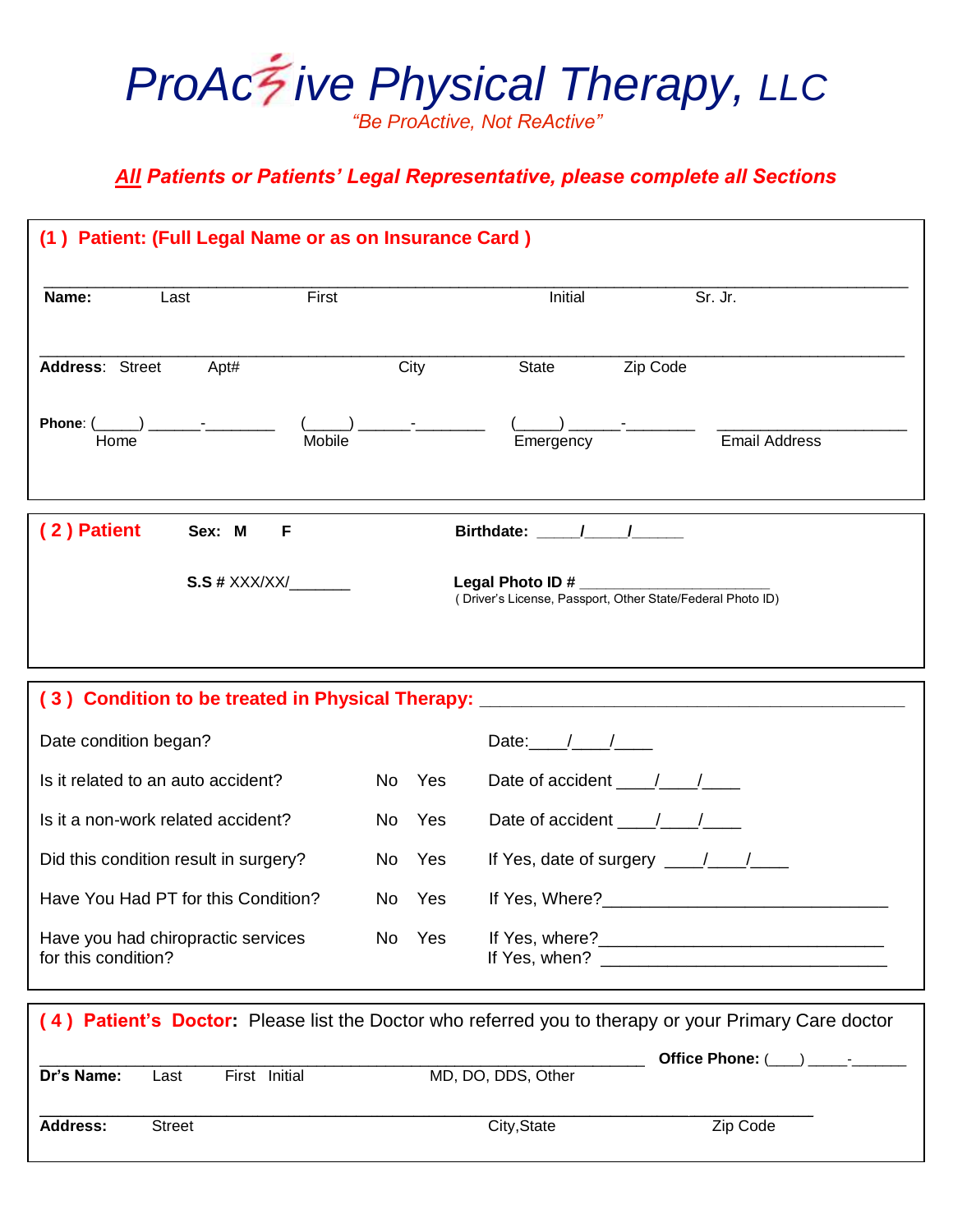

## *All Patients or Patients' Legal Representative, please complete all Sections*

| Name:                                                     | Last                  | First         |        |     | Initial            | Sr. Jr.                                                                                                                                                                                                                                                                                                                                                                                                   |
|-----------------------------------------------------------|-----------------------|---------------|--------|-----|--------------------|-----------------------------------------------------------------------------------------------------------------------------------------------------------------------------------------------------------------------------------------------------------------------------------------------------------------------------------------------------------------------------------------------------------|
| Address: Street                                           | Apt#                  |               | City   |     | State              | Zip Code                                                                                                                                                                                                                                                                                                                                                                                                  |
| Home                                                      | Phone: $($ ) -        | <b>Mobile</b> |        |     | Emergency          | <b>Email Address</b>                                                                                                                                                                                                                                                                                                                                                                                      |
| (2) Patient                                               | Sex: M                | F             |        |     | Birthdate: ////    |                                                                                                                                                                                                                                                                                                                                                                                                           |
|                                                           | $S.S$ # $XXX/XX/$     |               |        |     |                    | Legal Photo ID #<br>(Driver's License, Passport, Other State/Federal Photo ID)                                                                                                                                                                                                                                                                                                                            |
|                                                           |                       |               |        |     |                    |                                                                                                                                                                                                                                                                                                                                                                                                           |
|                                                           |                       |               |        |     |                    | (3) Condition to be treated in Physical Therapy: [10] Decree Condition to be treated in Physical Therapy:                                                                                                                                                                                                                                                                                                 |
| Date condition began?                                     |                       |               |        |     | Date: $/$ /        |                                                                                                                                                                                                                                                                                                                                                                                                           |
| Is it related to an auto accident?                        |                       |               | No Yes |     |                    |                                                                                                                                                                                                                                                                                                                                                                                                           |
| Is it a non-work related accident?                        |                       |               | No Yes |     |                    | Date of accident $\frac{1}{\sqrt{1-\frac{1}{2}}}$                                                                                                                                                                                                                                                                                                                                                         |
| Did this condition result in surgery?                     |                       |               | No Yes |     |                    | If Yes, date of surgery $\frac{1}{\sqrt{1-\frac{1}{2}}}\frac{1}{\sqrt{1-\frac{1}{2}}}\frac{1}{\sqrt{1-\frac{1}{2}}}\frac{1}{\sqrt{1-\frac{1}{2}}}\frac{1}{\sqrt{1-\frac{1}{2}}}\frac{1}{\sqrt{1-\frac{1}{2}}}\frac{1}{\sqrt{1-\frac{1}{2}}}\frac{1}{\sqrt{1-\frac{1}{2}}}\frac{1}{\sqrt{1-\frac{1}{2}}}\frac{1}{\sqrt{1-\frac{1}{2}}}\frac{1}{\sqrt{1-\frac{1}{2}}}\frac{1}{\sqrt{1-\frac{1}{2}}}\frac{1$ |
| Have You Had PT for this Condition?                       |                       |               | No Yes |     |                    |                                                                                                                                                                                                                                                                                                                                                                                                           |
| Have you had chiropractic services<br>for this condition? |                       |               | No     | Yes |                    |                                                                                                                                                                                                                                                                                                                                                                                                           |
|                                                           |                       |               |        |     |                    | (4) Patient's Doctor: Please list the Doctor who referred you to therapy or your Primary Care doctor                                                                                                                                                                                                                                                                                                      |
| Dr's Name:                                                | First Initial<br>Last |               |        |     | MD, DO, DDS, Other | Office Phone: (___) _____-____                                                                                                                                                                                                                                                                                                                                                                            |
| <b>Address:</b>                                           | <b>Street</b>         |               |        |     | City, State        | Zip Code                                                                                                                                                                                                                                                                                                                                                                                                  |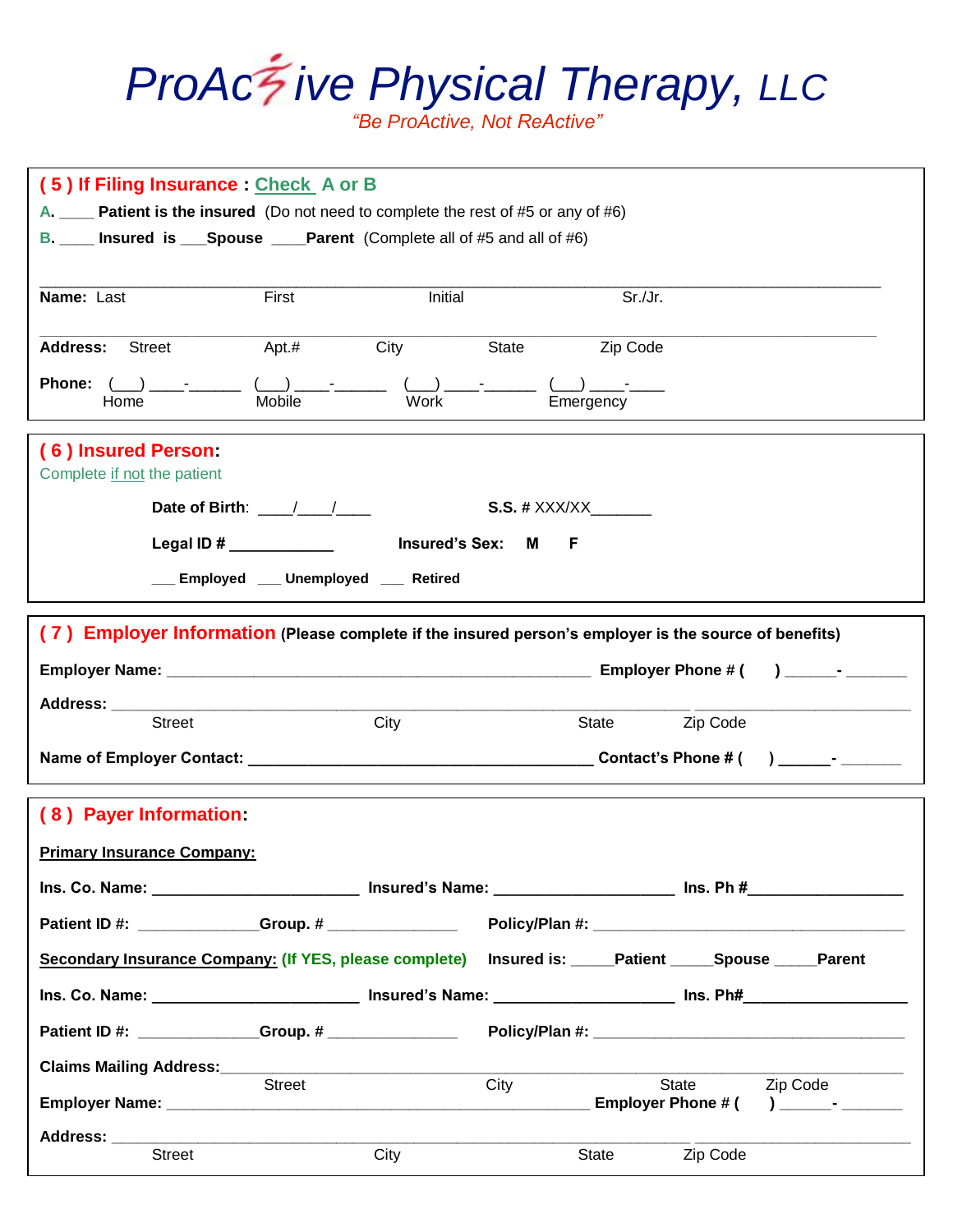## *ProAc ive Physical Therapy, LLC*

*"Be ProActive, Not ReActive"*

| (5) If Filing Insurance : Check A or B<br>A. _____ Patient is the insured (Do not need to complete the rest of #5 or any of #6)<br>B. ___ Insured is ___Spouse ____Parent (Complete all of #5 and all of #6) |  |  |  |  |  |  |  |  |
|--------------------------------------------------------------------------------------------------------------------------------------------------------------------------------------------------------------|--|--|--|--|--|--|--|--|
| Sr./Jr.<br>First<br>Initial<br>Name: Last                                                                                                                                                                    |  |  |  |  |  |  |  |  |
| <b>Address:</b> Street<br>$Apt.$ #<br><b>City</b><br>State<br>Zip Code                                                                                                                                       |  |  |  |  |  |  |  |  |
| Phone: $($ $)$ $-$<br>Mobile<br>Emergency<br>Work<br>Home                                                                                                                                                    |  |  |  |  |  |  |  |  |
| (6) Insured Person:<br>Complete if not the patient                                                                                                                                                           |  |  |  |  |  |  |  |  |
| Date of Birth: $\frac{1}{2}$<br><b>S.S. # XXX/XX</b>                                                                                                                                                         |  |  |  |  |  |  |  |  |
| <b>Insured's Sex: M</b><br>Legal ID # $\_\_\_\_\_\_\_\_\_\_\_\_\_\_\_$<br>- F                                                                                                                                |  |  |  |  |  |  |  |  |
| __ Employed __ Unemployed __ Retired                                                                                                                                                                         |  |  |  |  |  |  |  |  |
| (7) Employer Information (Please complete if the insured person's employer is the source of benefits)                                                                                                        |  |  |  |  |  |  |  |  |
| $\lambda$ - $\lambda$                                                                                                                                                                                        |  |  |  |  |  |  |  |  |
| Address: ____________                                                                                                                                                                                        |  |  |  |  |  |  |  |  |
| <b>Street</b><br>City<br>State <b>Zip Code</b>                                                                                                                                                               |  |  |  |  |  |  |  |  |
|                                                                                                                                                                                                              |  |  |  |  |  |  |  |  |
| (8) Payer Information:                                                                                                                                                                                       |  |  |  |  |  |  |  |  |
| <b>Primary Insurance Company:</b>                                                                                                                                                                            |  |  |  |  |  |  |  |  |
|                                                                                                                                                                                                              |  |  |  |  |  |  |  |  |
|                                                                                                                                                                                                              |  |  |  |  |  |  |  |  |
| Secondary Insurance Company: (If YES, please complete) Insured is: ____Patient ____Spouse ____Parent                                                                                                         |  |  |  |  |  |  |  |  |
| Ins. Co. Name: _________________________________ Insured's Name: ___________________________________ Ins. Ph#__________________________                                                                      |  |  |  |  |  |  |  |  |
|                                                                                                                                                                                                              |  |  |  |  |  |  |  |  |
| Claims Mailing Address:___________                                                                                                                                                                           |  |  |  |  |  |  |  |  |
| City<br>State <b>Zip Code</b><br>Street                                                                                                                                                                      |  |  |  |  |  |  |  |  |
| Address: _____                                                                                                                                                                                               |  |  |  |  |  |  |  |  |